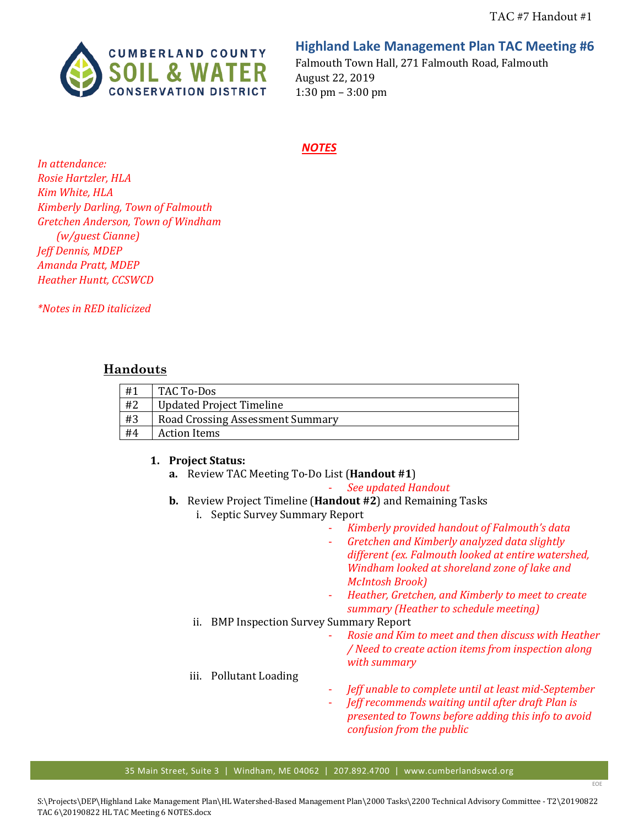

# **Highland Lake Management Plan TAC Meeting #6**

Falmouth Town Hall, 271 Falmouth Road, Falmouth August 22, 2019 1:30 pm – 3:00 pm

#### *NOTES*

*In attendance: Rosie Hartzler, HLA Kim White, HLA Kimberly Darling, Town of Falmouth Gretchen Anderson, Town of Windham (w/guest Cianne) Jeff Dennis, MDEP Amanda Pratt, MDEP Heather Huntt, CCSWCD*

*\*Notes in RED italicized*

### **Handouts**

| #1 | TAC To-Dos                              |
|----|-----------------------------------------|
| #2 | <b>Updated Project Timeline</b>         |
| #3 | <b>Road Crossing Assessment Summary</b> |
| #4 | Action Items                            |

#### **1. Project Status:**

**a.** Review TAC Meeting To-Do List (**Handout #1**)

- *See updated Handout*

- **b.** Review Project Timeline (**Handout #2**) and Remaining Tasks
	- i. Septic Survey Summary Report
		- *Kimberly provided handout of Falmouth's data*
		- *Gretchen and Kimberly analyzed data slightly different (ex. Falmouth looked at entire watershed, Windham looked at shoreland zone of lake and McIntosh Brook)*
		- *Heather, Gretchen, and Kimberly to meet to create summary (Heather to schedule meeting)*

### ii. BMP Inspection Survey Summary Report

- *Rosie and Kim to meet and then discuss with Heather / Need to create action items from inspection along with summary*

### iii. Pollutant Loading

- *Jeff unable to complete until at least mid-September*
- *Jeff recommends waiting until after draft Plan is presented to Towns before adding this info to avoid confusion from the public*

EOE

35 Main Street, Suite 3 | Windham, ME 04062 | 207.892.4700 | www.cumberlandswcd.org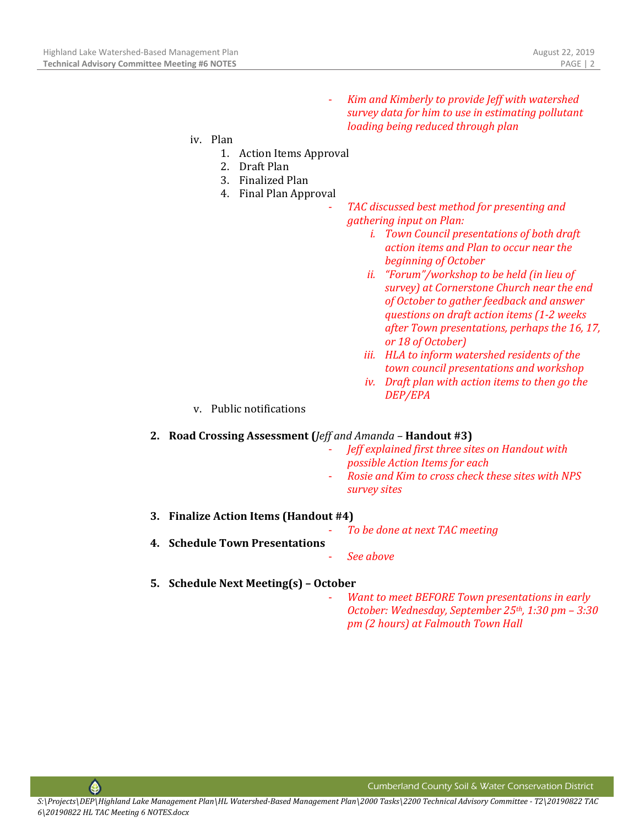- *Kim and Kimberly to provide Jeff with watershed survey data for him to use in estimating pollutant loading being reduced through plan*

- iv. Plan
	- 1. Action Items Approval
	- 2. Draft Plan
	- 3. Finalized Plan
	- 4. Final Plan Approval
		- *TAC discussed best method for presenting and gathering input on Plan:*
			- *i. Town Council presentations of both draft action items and Plan to occur near the beginning of October*
			- *ii. "Forum"/workshop to be held (in lieu of survey) at Cornerstone Church near the end of October to gather feedback and answer questions on draft action items (1-2 weeks after Town presentations, perhaps the 16, 17, or 18 of October)*
			- *iii. HLA to inform watershed residents of the town council presentations and workshop*
			- *iv. Draft plan with action items to then go the DEP/EPA*
	- v. Public notifications

#### **2. Road Crossing Assessment (***Jeff and Amanda –* **Handout #3)**

- *Jeff explained first three sites on Handout with possible Action Items for each*
- *Rosie and Kim to cross check these sites with NPS survey sites*
- **3. Finalize Action Items (Handout #4)**

- *To be done at next TAC meeting*

- **4. Schedule Town Presentations**
	- *See above*
- **5. Schedule Next Meeting(s) – October**
	- *Want to meet BEFORE Town presentations in early October: Wednesday, September 25th, 1:30 pm – 3:30 pm (2 hours) at Falmouth Town Hall*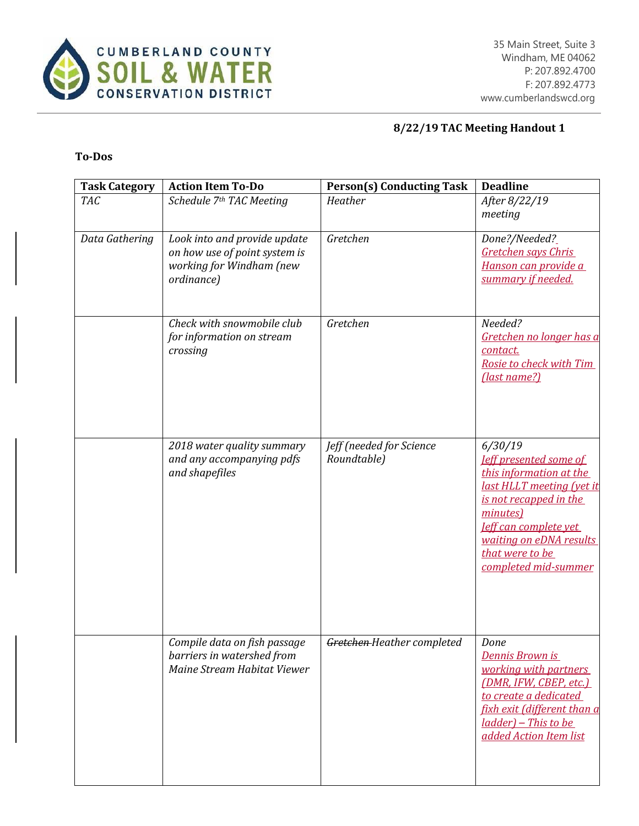

# **8/22/19 TAC Meeting Handout 1**

# **To-Dos**

| <b>Task Category</b> | <b>Action Item To-Do</b>                                                                                | <b>Person(s) Conducting Task</b>        | <b>Deadline</b>                                                                                                                                                                                                                              |
|----------------------|---------------------------------------------------------------------------------------------------------|-----------------------------------------|----------------------------------------------------------------------------------------------------------------------------------------------------------------------------------------------------------------------------------------------|
| <b>TAC</b>           | Schedule 7th TAC Meeting                                                                                | Heather                                 | After 8/22/19<br>meeting                                                                                                                                                                                                                     |
| Data Gathering       | Look into and provide update<br>on how use of point system is<br>working for Windham (new<br>ordinance) | Gretchen                                | Done?/Needed?_<br>Gretchen says Chris<br>Hanson can provide a<br>summary if needed.                                                                                                                                                          |
|                      | Check with snowmobile club<br>for information on stream<br>crossing                                     | Gretchen                                | Needed?<br>Gretchen no longer has a<br>contact.<br>Rosie to check with Tim<br>(last name?)                                                                                                                                                   |
|                      | 2018 water quality summary<br>and any accompanying pdfs<br>and shapefiles                               | Jeff (needed for Science<br>Roundtable) | 6/30/19<br><b>leff presented some of</b><br>this information at the<br>last HLLT meeting (yet it<br>is not recapped in the<br>minutes)<br><b>Jeff can complete yet</b><br>waiting on eDNA results<br>that were to be<br>completed mid-summer |
|                      | Compile data on fish passage<br>barriers in watershed from<br>Maine Stream Habitat Viewer               | Gretchen-Heather completed              | Done<br>Dennis Brown is<br>working with partners<br>(DMR, IFW, CBEP, etc.)<br>to create a dedicated<br>fixh exit (different than a<br>ladder) - This to be<br>added Action Item list                                                         |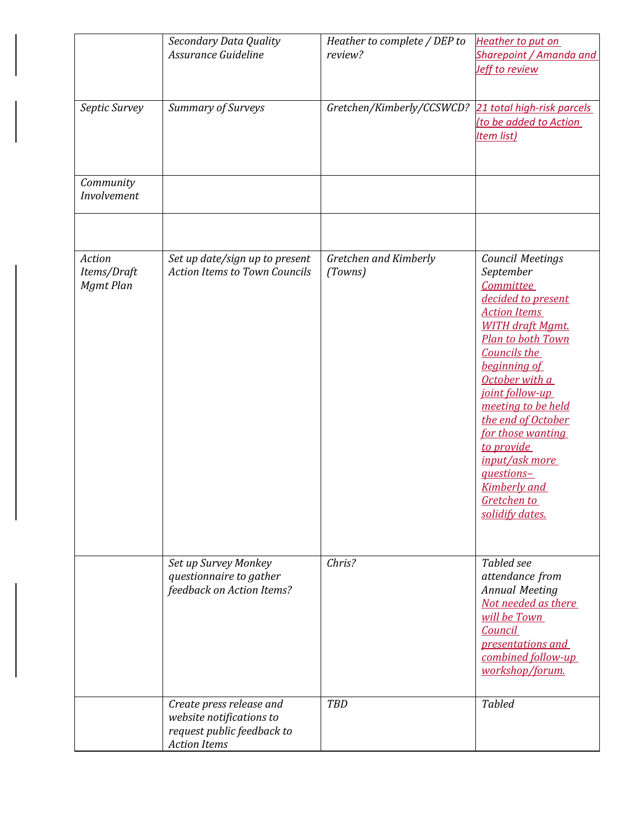|                                    | Secondary Data Quality<br>Assurance Guideline                                                             | Heather to complete / DEP to<br>review? | Heather to put on<br>Sharepoint / Amanda and<br>Jeff to review                                                                                                                                                                                                                                                                                                                                     |
|------------------------------------|-----------------------------------------------------------------------------------------------------------|-----------------------------------------|----------------------------------------------------------------------------------------------------------------------------------------------------------------------------------------------------------------------------------------------------------------------------------------------------------------------------------------------------------------------------------------------------|
| Septic Survey                      | Summary of Surveys                                                                                        | Gretchen/Kimberly/CCSWCD?               | 21 total high-risk parcels<br>(to be added to Action<br><b>Item list)</b>                                                                                                                                                                                                                                                                                                                          |
| Community<br>Involvement           |                                                                                                           |                                         |                                                                                                                                                                                                                                                                                                                                                                                                    |
| Action<br>Items/Draft<br>Mgmt Plan | Set up date/sign up to present<br><b>Action Items to Town Councils</b>                                    | Gretchen and Kimberly<br>(Towns)        | <b>Council Meetings</b><br>September<br><b>Committee</b><br>decided to present<br><b>Action Items</b><br><b>WITH draft Mamt.</b><br>Plan to both Town<br>Councils the<br>beginning of<br>October with a<br>joint follow-up<br>meeting to be held<br>the end of October<br>for those wanting<br>to provide<br>input/ask more<br>questions-<br><b>Kimberly</b> and<br>Gretchen to<br>solidify dates. |
|                                    | Set up Survey Monkey<br>questionnaire to gather<br>feedback on Action Items?                              | Chris?                                  | Tabled see<br>attendance from<br><b>Annual Meeting</b><br>Not needed as there<br>will be Town<br>Council<br>presentations and<br>combined follow-up<br>workshop/forum.                                                                                                                                                                                                                             |
|                                    | Create press release and<br>website notifications to<br>request public feedback to<br><b>Action Items</b> | <b>TBD</b>                              | <b>Tabled</b>                                                                                                                                                                                                                                                                                                                                                                                      |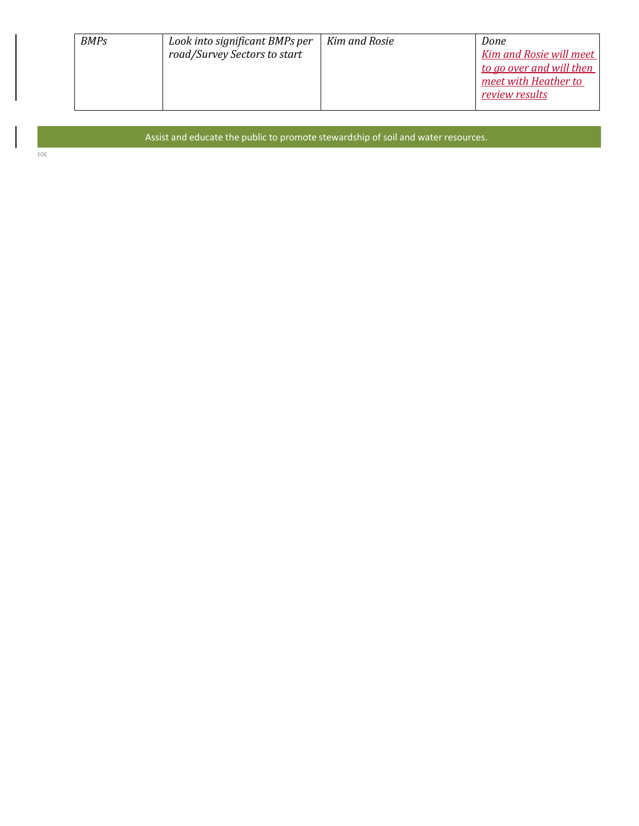| <b>BMPs</b> | Look into significant BMPs per<br>road/Survey Sectors to start | Kim and Rosie | Done<br>Kim and Rosie will meet<br>to go over and will then<br>meet with Heather to<br><u>review results</u> |
|-------------|----------------------------------------------------------------|---------------|--------------------------------------------------------------------------------------------------------------|
|-------------|----------------------------------------------------------------|---------------|--------------------------------------------------------------------------------------------------------------|

Assist and educate the public to promote stewardship of soil and water resources.

EOE